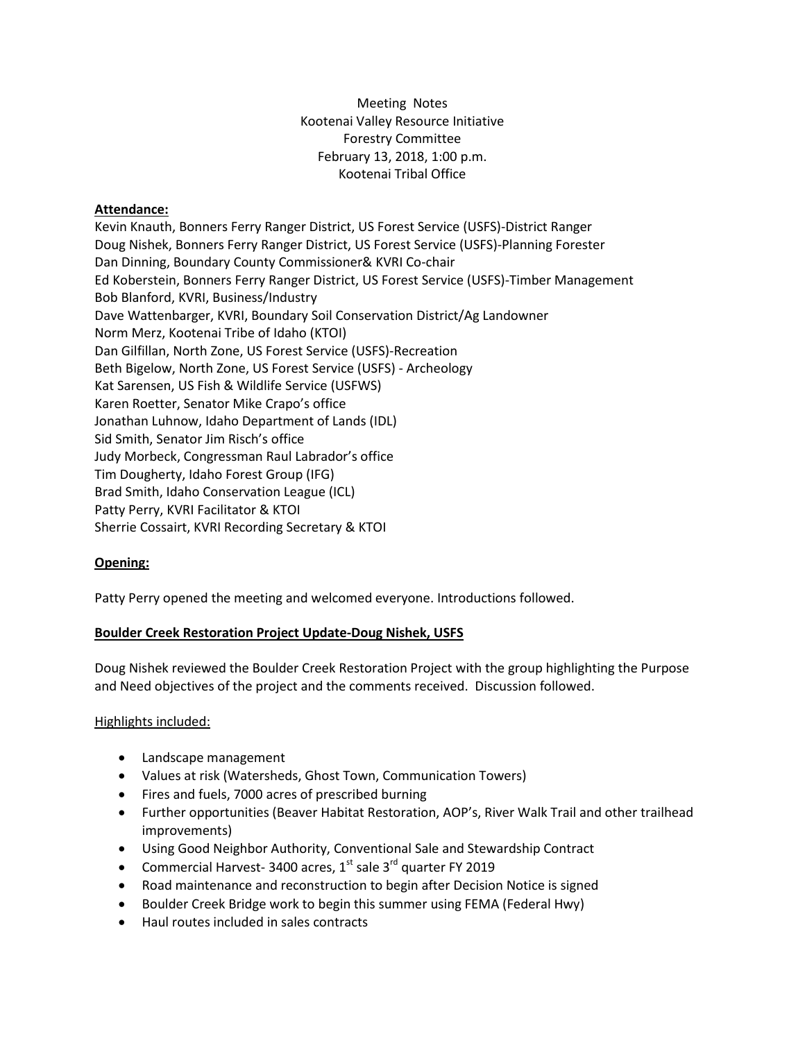Meeting Notes Kootenai Valley Resource Initiative Forestry Committee February 13, 2018, 1:00 p.m. Kootenai Tribal Office

## **Attendance:**

Kevin Knauth, Bonners Ferry Ranger District, US Forest Service (USFS)-District Ranger Doug Nishek, Bonners Ferry Ranger District, US Forest Service (USFS)-Planning Forester Dan Dinning, Boundary County Commissioner& KVRI Co-chair Ed Koberstein, Bonners Ferry Ranger District, US Forest Service (USFS)-Timber Management Bob Blanford, KVRI, Business/Industry Dave Wattenbarger, KVRI, Boundary Soil Conservation District/Ag Landowner Norm Merz, Kootenai Tribe of Idaho (KTOI) Dan Gilfillan, North Zone, US Forest Service (USFS)-Recreation Beth Bigelow, North Zone, US Forest Service (USFS) - Archeology Kat Sarensen, US Fish & Wildlife Service (USFWS) Karen Roetter, Senator Mike Crapo's office Jonathan Luhnow, Idaho Department of Lands (IDL) Sid Smith, Senator Jim Risch's office Judy Morbeck, Congressman Raul Labrador's office Tim Dougherty, Idaho Forest Group (IFG) Brad Smith, Idaho Conservation League (ICL) Patty Perry, KVRI Facilitator & KTOI Sherrie Cossairt, KVRI Recording Secretary & KTOI

## **Opening:**

Patty Perry opened the meeting and welcomed everyone. Introductions followed.

## **Boulder Creek Restoration Project Update-Doug Nishek, USFS**

Doug Nishek reviewed the Boulder Creek Restoration Project with the group highlighting the Purpose and Need objectives of the project and the comments received. Discussion followed.

## Highlights included:

- Landscape management
- Values at risk (Watersheds, Ghost Town, Communication Towers)
- Fires and fuels, 7000 acres of prescribed burning
- Further opportunities (Beaver Habitat Restoration, AOP's, River Walk Trail and other trailhead improvements)
- Using Good Neighbor Authority, Conventional Sale and Stewardship Contract
- Commercial Harvest- 3400 acres,  $1<sup>st</sup>$  sale 3<sup>rd</sup> quarter FY 2019
- Road maintenance and reconstruction to begin after Decision Notice is signed
- Boulder Creek Bridge work to begin this summer using FEMA (Federal Hwy)
- Haul routes included in sales contracts